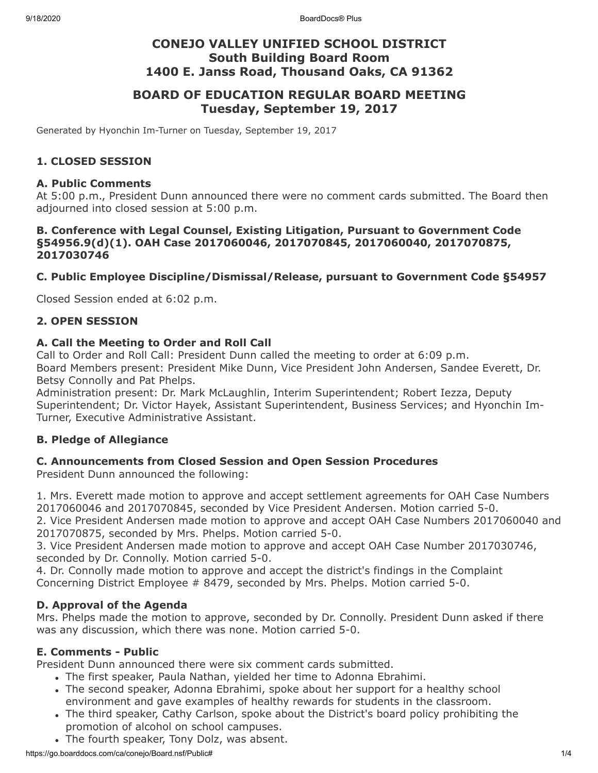# **CONEJO VALLEY UNIFIED SCHOOL DISTRICT South Building Board Room 1400 E. Janss Road, Thousand Oaks, CA 91362**

# **BOARD OF EDUCATION REGULAR BOARD MEETING Tuesday, September 19, 2017**

Generated by Hyonchin Im-Turner on Tuesday, September 19, 2017

### **1. CLOSED SESSION**

#### **A. Public Comments**

At 5:00 p.m., President Dunn announced there were no comment cards submitted. The Board then adjourned into closed session at 5:00 p.m.

### **B. Conference with Legal Counsel, Existing Litigation, Pursuant to Government Code §54956.9(d)(1). OAH Case 2017060046, 2017070845, 2017060040, 2017070875, 2017030746**

### **C. Public Employee Discipline/Dismissal/Release, pursuant to Government Code §54957**

Closed Session ended at 6:02 p.m.

### **2. OPEN SESSION**

### **A. Call the Meeting to Order and Roll Call**

Call to Order and Roll Call: President Dunn called the meeting to order at 6:09 p.m. Board Members present: President Mike Dunn, Vice President John Andersen, Sandee Everett, Dr. Betsy Connolly and Pat Phelps.

Administration present: Dr. Mark McLaughlin, Interim Superintendent; Robert Iezza, Deputy Superintendent; Dr. Victor Hayek, Assistant Superintendent, Business Services; and Hyonchin Im-Turner, Executive Administrative Assistant.

### **B. Pledge of Allegiance**

### **C. Announcements from Closed Session and Open Session Procedures**

President Dunn announced the following:

1. Mrs. Everett made motion to approve and accept settlement agreements for OAH Case Numbers 2017060046 and 2017070845, seconded by Vice President Andersen. Motion carried 5-0.

2. Vice President Andersen made motion to approve and accept OAH Case Numbers 2017060040 and 2017070875, seconded by Mrs. Phelps. Motion carried 5-0.

3. Vice President Andersen made motion to approve and accept OAH Case Number 2017030746, seconded by Dr. Connolly. Motion carried 5-0.

4. Dr. Connolly made motion to approve and accept the district's findings in the Complaint Concerning District Employee # 8479, seconded by Mrs. Phelps. Motion carried 5-0.

### **D. Approval of the Agenda**

Mrs. Phelps made the motion to approve, seconded by Dr. Connolly. President Dunn asked if there was any discussion, which there was none. Motion carried 5-0.

### **E. Comments - Public**

President Dunn announced there were six comment cards submitted.

- . The first speaker, Paula Nathan, yielded her time to Adonna Ebrahimi.
- The second speaker, Adonna Ebrahimi, spoke about her support for a healthy school environment and gave examples of healthy rewards for students in the classroom.
- The third speaker, Cathy Carlson, spoke about the District's board policy prohibiting the promotion of alcohol on school campuses.
- The fourth speaker, Tony Dolz, was absent.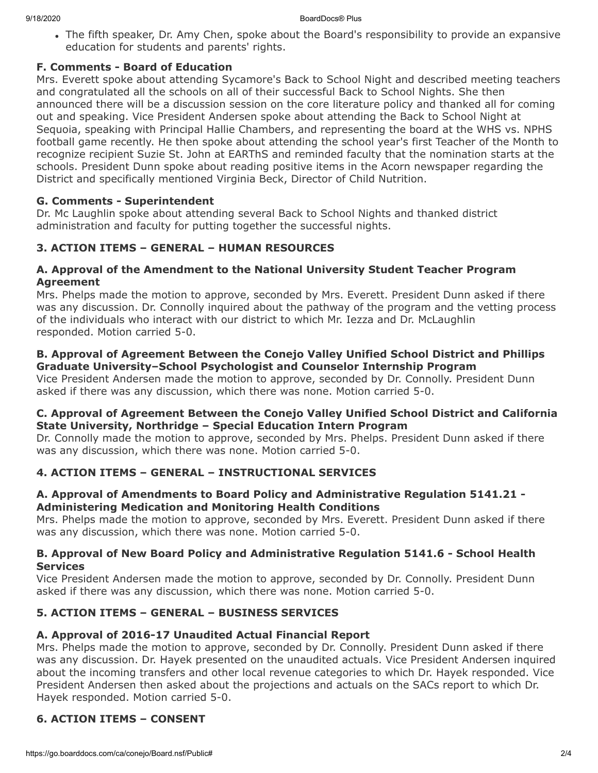The fifth speaker, Dr. Amy Chen, spoke about the Board's responsibility to provide an expansive education for students and parents' rights.

### **F. Comments - Board of Education**

Mrs. Everett spoke about attending Sycamore's Back to School Night and described meeting teachers and congratulated all the schools on all of their successful Back to School Nights. She then announced there will be a discussion session on the core literature policy and thanked all for coming out and speaking. Vice President Andersen spoke about attending the Back to School Night at Sequoia, speaking with Principal Hallie Chambers, and representing the board at the WHS vs. NPHS football game recently. He then spoke about attending the school year's first Teacher of the Month to recognize recipient Suzie St. John at EARThS and reminded faculty that the nomination starts at the schools. President Dunn spoke about reading positive items in the Acorn newspaper regarding the District and specifically mentioned Virginia Beck, Director of Child Nutrition.

### **G. Comments - Superintendent**

Dr. Mc Laughlin spoke about attending several Back to School Nights and thanked district administration and faculty for putting together the successful nights.

## **3. ACTION ITEMS – GENERAL – HUMAN RESOURCES**

### **A. Approval of the Amendment to the National University Student Teacher Program Agreement**

Mrs. Phelps made the motion to approve, seconded by Mrs. Everett. President Dunn asked if there was any discussion. Dr. Connolly inquired about the pathway of the program and the vetting process of the individuals who interact with our district to which Mr. Iezza and Dr. McLaughlin responded. Motion carried 5-0.

### **B. Approval of Agreement Between the Conejo Valley Unified School District and Phillips Graduate University–School Psychologist and Counselor Internship Program**

Vice President Andersen made the motion to approve, seconded by Dr. Connolly. President Dunn asked if there was any discussion, which there was none. Motion carried 5-0.

### **C. Approval of Agreement Between the Conejo Valley Unified School District and California State University, Northridge – Special Education Intern Program**

Dr. Connolly made the motion to approve, seconded by Mrs. Phelps. President Dunn asked if there was any discussion, which there was none. Motion carried 5-0.

## **4. ACTION ITEMS – GENERAL – INSTRUCTIONAL SERVICES**

### **A. Approval of Amendments to Board Policy and Administrative Regulation 5141.21 - Administering Medication and Monitoring Health Conditions**

Mrs. Phelps made the motion to approve, seconded by Mrs. Everett. President Dunn asked if there was any discussion, which there was none. Motion carried 5-0.

### **B. Approval of New Board Policy and Administrative Regulation 5141.6 - School Health Services**

Vice President Andersen made the motion to approve, seconded by Dr. Connolly. President Dunn asked if there was any discussion, which there was none. Motion carried 5-0.

## **5. ACTION ITEMS – GENERAL – BUSINESS SERVICES**

## **A. Approval of 2016-17 Unaudited Actual Financial Report**

Mrs. Phelps made the motion to approve, seconded by Dr. Connolly. President Dunn asked if there was any discussion. Dr. Hayek presented on the unaudited actuals. Vice President Andersen inquired about the incoming transfers and other local revenue categories to which Dr. Hayek responded. Vice President Andersen then asked about the projections and actuals on the SACs report to which Dr. Hayek responded. Motion carried 5-0.

## **6. ACTION ITEMS – CONSENT**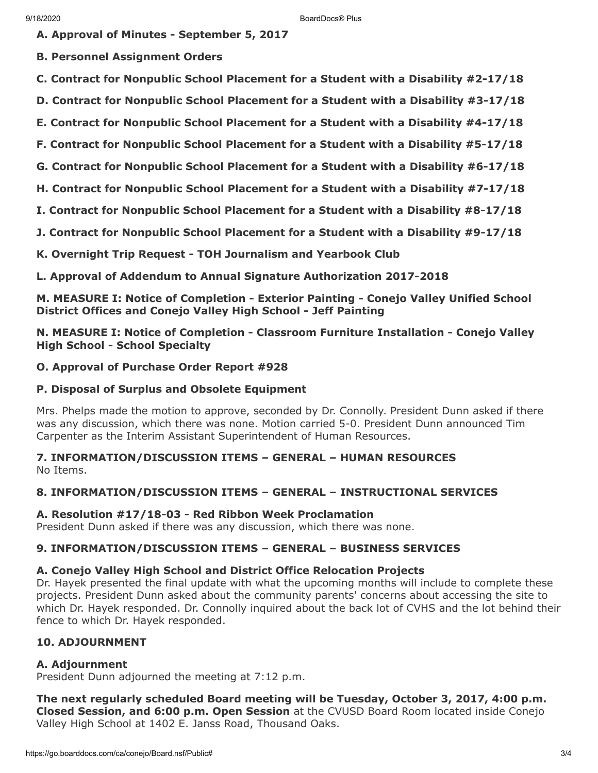**A. Approval of Minutes - September 5, 2017**

**B. Personnel Assignment Orders**

**C. Contract for Nonpublic School Placement for a Student with a Disability #2-17/18**

**D. Contract for Nonpublic School Placement for a Student with a Disability #3-17/18**

**E. Contract for Nonpublic School Placement for a Student with a Disability #4-17/18**

**F. Contract for Nonpublic School Placement for a Student with a Disability #5-17/18**

**G. Contract for Nonpublic School Placement for a Student with a Disability #6-17/18**

**H. Contract for Nonpublic School Placement for a Student with a Disability #7-17/18**

**I. Contract for Nonpublic School Placement for a Student with a Disability #8-17/18**

**J. Contract for Nonpublic School Placement for a Student with a Disability #9-17/18**

**K. Overnight Trip Request - TOH Journalism and Yearbook Club**

**L. Approval of Addendum to Annual Signature Authorization 2017-2018**

**M. MEASURE I: Notice of Completion - Exterior Painting - Conejo Valley Unified School District Offices and Conejo Valley High School - Jeff Painting**

**N. MEASURE I: Notice of Completion - Classroom Furniture Installation - Conejo Valley High School - School Specialty**

### **O. Approval of Purchase Order Report #928**

### **P. Disposal of Surplus and Obsolete Equipment**

Mrs. Phelps made the motion to approve, seconded by Dr. Connolly. President Dunn asked if there was any discussion, which there was none. Motion carried 5-0. President Dunn announced Tim Carpenter as the Interim Assistant Superintendent of Human Resources.

**7. INFORMATION/DISCUSSION ITEMS – GENERAL – HUMAN RESOURCES** No Items.

### **8. INFORMATION/DISCUSSION ITEMS – GENERAL – INSTRUCTIONAL SERVICES**

### **A. Resolution #17/18-03 - Red Ribbon Week Proclamation**

President Dunn asked if there was any discussion, which there was none.

### **9. INFORMATION/DISCUSSION ITEMS – GENERAL – BUSINESS SERVICES**

#### **A. Conejo Valley High School and District Office Relocation Projects**

Dr. Hayek presented the final update with what the upcoming months will include to complete these projects. President Dunn asked about the community parents' concerns about accessing the site to which Dr. Hayek responded. Dr. Connolly inquired about the back lot of CVHS and the lot behind their fence to which Dr. Hayek responded.

### **10. ADJOURNMENT**

### **A. Adjournment**

President Dunn adjourned the meeting at 7:12 p.m.

**The next regularly scheduled Board meeting will be Tuesday, October 3, 2017, 4:00 p.m. Closed Session, and 6:00 p.m. Open Session** at the CVUSD Board Room located inside Conejo Valley High School at 1402 E. Janss Road, Thousand Oaks.